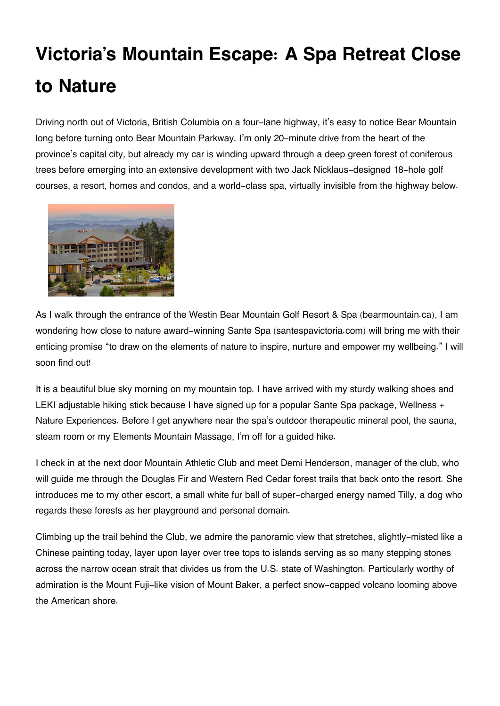## **Victoria's Mountain Escape: A Spa Retreat Close to Nature**

Driving north out of Victoria, British Columbia on a four-lane highway, it's easy to notice Bear Mountain long before turning onto Bear Mountain Parkway. I'm only 20-minute drive from the heart of the province's capital city, but already my car is winding upward through a deep green forest of coniferous trees before emerging into an extensive development with two Jack Nicklaus-designed 18-hole golf courses, a resort, homes and condos, and a world-class spa, virtually invisible from the highway below.



As I walk through the entrance of the Westin Bear Mountain Golf Resort & Spa (bearmountain.ca), I am wondering how close to nature award-winning Sante Spa (santespavictoria.com) will bring me with their enticing promise "to draw on the elements of nature to inspire, nurture and empower my wellbeing." I will soon find out!

It is a beautiful blue sky morning on my mountain top. I have arrived with my sturdy walking shoes and LEKI adjustable hiking stick because I have signed up for a popular Sante Spa package, Wellness + Nature Experiences. Before I get anywhere near the spa's outdoor therapeutic mineral pool, the sauna, steam room or my Elements Mountain Massage, I'm off for a guided hike.

I check in at the next door Mountain Athletic Club and meet Demi Henderson, manager of the club, who will guide me through the Douglas Fir and Western Red Cedar forest trails that back onto the resort. She introduces me to my other escort, a small white fur ball of super-charged energy named Tilly, a dog who regards these forests as her playground and personal domain.

Climbing up the trail behind the Club, we admire the panoramic view that stretches, slightly-misted like a Chinese painting today, layer upon layer over tree tops to islands serving as so many stepping stones across the narrow ocean strait that divides us from the U.S. state of Washington. Particularly worthy of admiration is the Mount Fuji-like vision of Mount Baker, a perfect snow-capped volcano looming above the American shore.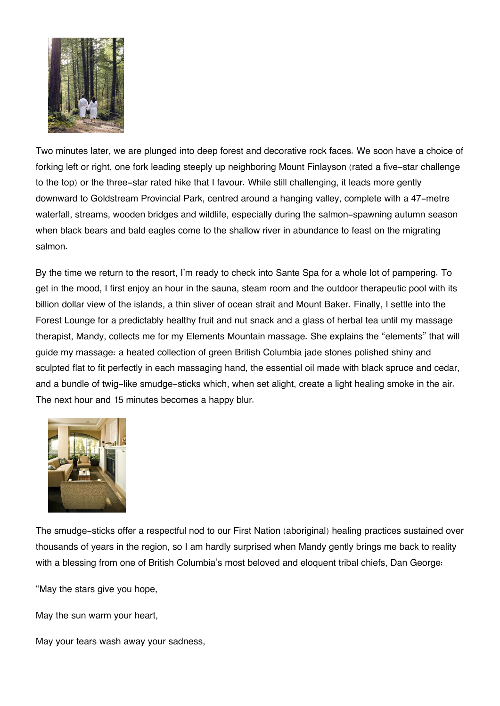

Two minutes later, we are plunged into deep forest and decorative rock faces. We soon have a choice of forking left or right, one fork leading steeply up neighboring Mount Finlayson (rated a five-star challenge to the top) or the three-star rated hike that I favour. While still challenging, it leads more gently downward to Goldstream Provincial Park, centred around a hanging valley, complete with a 47-metre waterfall, streams, wooden bridges and wildlife, especially during the salmon-spawning autumn season when black bears and bald eagles come to the shallow river in abundance to feast on the migrating salmon.

By the time we return to the resort, I'm ready to check into Sante Spa for a whole lot of pampering. To get in the mood, I first enjoy an hour in the sauna, steam room and the outdoor therapeutic pool with its billion dollar view of the islands, a thin sliver of ocean strait and Mount Baker. Finally, I settle into the Forest Lounge for a predictably healthy fruit and nut snack and a glass of herbal tea until my massage therapist, Mandy, collects me for my Elements Mountain massage. She explains the "elements" that will guide my massage: a heated collection of green British Columbia jade stones polished shiny and sculpted flat to fit perfectly in each massaging hand, the essential oil made with black spruce and cedar, and a bundle of twig-like smudge-sticks which, when set alight, create a light healing smoke in the air. The next hour and 15 minutes becomes a happy blur.



The smudge-sticks offer a respectful nod to our First Nation (aboriginal) healing practices sustained over thousands of years in the region, so I am hardly surprised when Mandy gently brings me back to reality with a blessing from one of British Columbia's most beloved and eloquent tribal chiefs, Dan George:

"May the stars give you hope,

May the sun warm your heart,

May your tears wash away your sadness,